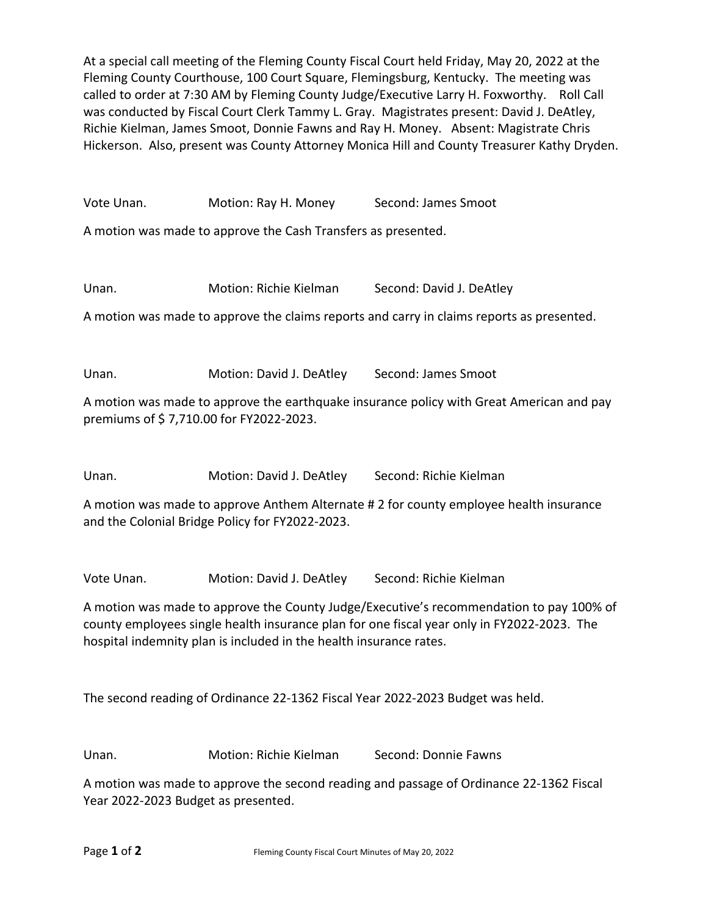At a special call meeting of the Fleming County Fiscal Court held Friday, May 20, 2022 at the Fleming County Courthouse, 100 Court Square, Flemingsburg, Kentucky. The meeting was called to order at 7:30 AM by Fleming County Judge/Executive Larry H. Foxworthy. Roll Call was conducted by Fiscal Court Clerk Tammy L. Gray. Magistrates present: David J. DeAtley, Richie Kielman, James Smoot, Donnie Fawns and Ray H. Money. Absent: Magistrate Chris Hickerson. Also, present was County Attorney Monica Hill and County Treasurer Kathy Dryden.

Vote Unan. Motion: Ray H. Money Second: James Smoot

A motion was made to approve the Cash Transfers as presented.

Unan. Motion: Richie Kielman Second: David J. DeAtley

A motion was made to approve the claims reports and carry in claims reports as presented.

Unan. Motion: David J. DeAtley Second: James Smoot

A motion was made to approve the earthquake insurance policy with Great American and pay premiums of \$ 7,710.00 for FY2022-2023.

Unan. Motion: David J. DeAtley Second: Richie Kielman

A motion was made to approve Anthem Alternate # 2 for county employee health insurance and the Colonial Bridge Policy for FY2022-2023.

Vote Unan. Motion: David J. DeAtley Second: Richie Kielman

A motion was made to approve the County Judge/Executive's recommendation to pay 100% of county employees single health insurance plan for one fiscal year only in FY2022-2023. The hospital indemnity plan is included in the health insurance rates.

The second reading of Ordinance 22-1362 Fiscal Year 2022-2023 Budget was held.

Unan. Motion: Richie Kielman Second: Donnie Fawns

A motion was made to approve the second reading and passage of Ordinance 22-1362 Fiscal Year 2022-2023 Budget as presented.